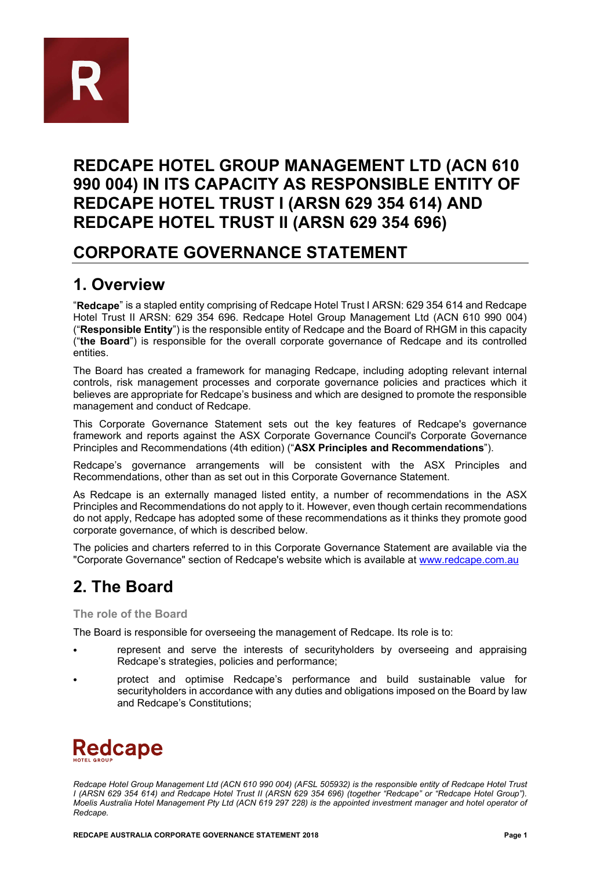

## **REDCAPE HOTEL GROUP MANAGEMENT LTD (ACN 610 990 004) IN ITS CAPACITY AS RESPONSIBLE ENTITY OF REDCAPE HOTEL TRUST I (ARSN 629 354 614) AND REDCAPE HOTEL TRUST II (ARSN 629 354 696)**

### **CORPORATE GOVERNANCE STATEMENT**

## **1. Overview**

"**Redcape**" is a stapled entity comprising of Redcape Hotel Trust I ARSN: 629 354 614 and Redcape Hotel Trust II ARSN: 629 354 696. Redcape Hotel Group Management Ltd (ACN 610 990 004) ("**Responsible Entity**") is the responsible entity of Redcape and the Board of RHGM in this capacity ("**the Board**") is responsible for the overall corporate governance of Redcape and its controlled entities.

The Board has created a framework for managing Redcape, including adopting relevant internal controls, risk management processes and corporate governance policies and practices which it believes are appropriate for Redcape's business and which are designed to promote the responsible management and conduct of Redcape.

This Corporate Governance Statement sets out the key features of Redcape's governance framework and reports against the ASX Corporate Governance Council's Corporate Governance Principles and Recommendations (4th edition) ("**ASX Principles and Recommendations**").

Redcape's governance arrangements will be consistent with the ASX Principles and Recommendations, other than as set out in this Corporate Governance Statement.

As Redcape is an externally managed listed entity, a number of recommendations in the ASX Principles and Recommendations do not apply to it. However, even though certain recommendations do not apply, Redcape has adopted some of these recommendations as it thinks they promote good corporate governance, of which is described below.

The policies and charters referred to in this Corporate Governance Statement are available via the "Corporate Governance" section of Redcape's website which is available at [www.redcape.com.au](http://www.redcape.com.au/)

# **2. The Board**

**The role of the Board**

The Board is responsible for overseeing the management of Redcape. Its role is to:

- represent and serve the interests of securityholders by overseeing and appraising Redcape's strategies, policies and performance;
- protect and optimise Redcape's performance and build sustainable value for securityholders in accordance with any duties and obligations imposed on the Board by law and Redcape's Constitutions;



*Redcape Hotel Group Management Ltd (ACN 610 990 004) (AFSL 505932) is the responsible entity of Redcape Hotel Trust I (ARSN 629 354 614) and Redcape Hotel Trust II (ARSN 629 354 696) (together "Redcape" or "Redcape Hotel Group"). Moelis Australia Hotel Management Pty Ltd (ACN 619 297 228) is the appointed investment manager and hotel operator of Redcape.*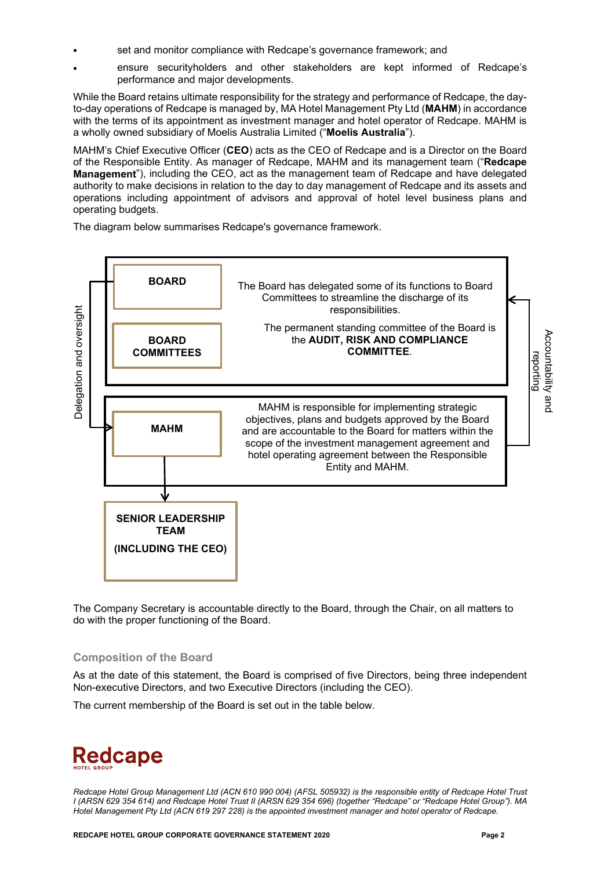- set and monitor compliance with Redcape's governance framework; and
- ensure securityholders and other stakeholders are kept informed of Redcape's performance and major developments.

While the Board retains ultimate responsibility for the strategy and performance of Redcape, the dayto-day operations of Redcape is managed by, MA Hotel Management Pty Ltd (**MAHM**) in accordance with the terms of its appointment as investment manager and hotel operator of Redcape. MAHM is a wholly owned subsidiary of Moelis Australia Limited ("**Moelis Australia**").

MAHM's Chief Executive Officer (**CEO**) acts as the CEO of Redcape and is a Director on the Board of the Responsible Entity. As manager of Redcape, MAHM and its management team ("**Redcape Management**"), including the CEO, act as the management team of Redcape and have delegated authority to make decisions in relation to the day to day management of Redcape and its assets and operations including appointment of advisors and approval of hotel level business plans and operating budgets.

The diagram below summarises Redcape's governance framework.



The Company Secretary is accountable directly to the Board, through the Chair, on all matters to do with the proper functioning of the Board.

### **Composition of the Board**

As at the date of this statement, the Board is comprised of five Directors, being three independent Non-executive Directors, and two Executive Directors (including the CEO).

The current membership of the Board is set out in the table below.

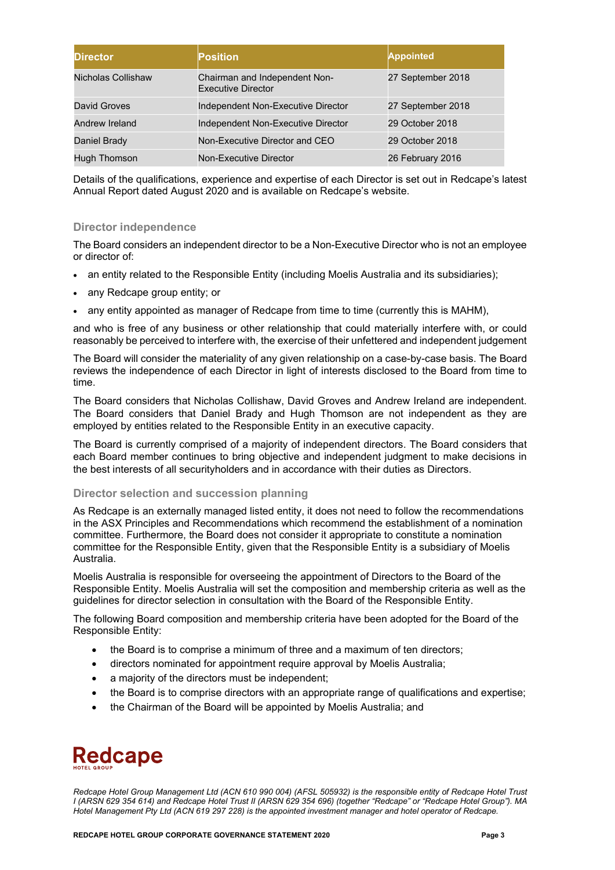| <b>Director</b>    | <b>Position</b>                                            | <b>Appointed</b>  |
|--------------------|------------------------------------------------------------|-------------------|
| Nicholas Collishaw | Chairman and Independent Non-<br><b>Executive Director</b> | 27 September 2018 |
| David Groves       | Independent Non-Executive Director                         | 27 September 2018 |
| Andrew Ireland     | Independent Non-Executive Director                         | 29 October 2018   |
| Daniel Brady       | Non-Executive Director and CEO                             | 29 October 2018   |
| Hugh Thomson       | Non-Executive Director                                     | 26 February 2016  |

Details of the qualifications, experience and expertise of each Director is set out in Redcape's latest Annual Report dated August 2020 and is available on Redcape's website.

### **Director independence**

The Board considers an independent director to be a Non-Executive Director who is not an employee or director of:

- an entity related to the Responsible Entity (including Moelis Australia and its subsidiaries);
- any Redcape group entity; or
- any entity appointed as manager of Redcape from time to time (currently this is MAHM),

and who is free of any business or other relationship that could materially interfere with, or could reasonably be perceived to interfere with, the exercise of their unfettered and independent judgement

The Board will consider the materiality of any given relationship on a case-by-case basis. The Board reviews the independence of each Director in light of interests disclosed to the Board from time to time.

The Board considers that Nicholas Collishaw, David Groves and Andrew Ireland are independent. The Board considers that Daniel Brady and Hugh Thomson are not independent as they are employed by entities related to the Responsible Entity in an executive capacity.

The Board is currently comprised of a majority of independent directors. The Board considers that each Board member continues to bring objective and independent judgment to make decisions in the best interests of all securityholders and in accordance with their duties as Directors.

### **Director selection and succession planning**

As Redcape is an externally managed listed entity, it does not need to follow the recommendations in the ASX Principles and Recommendations which recommend the establishment of a nomination committee. Furthermore, the Board does not consider it appropriate to constitute a nomination committee for the Responsible Entity, given that the Responsible Entity is a subsidiary of Moelis Australia.

Moelis Australia is responsible for overseeing the appointment of Directors to the Board of the Responsible Entity. Moelis Australia will set the composition and membership criteria as well as the guidelines for director selection in consultation with the Board of the Responsible Entity.

The following Board composition and membership criteria have been adopted for the Board of the Responsible Entity:

- the Board is to comprise a minimum of three and a maximum of ten directors;
- directors nominated for appointment require approval by Moelis Australia;
- a majority of the directors must be independent;
- the Board is to comprise directors with an appropriate range of qualifications and expertise;
- the Chairman of the Board will be appointed by Moelis Australia; and

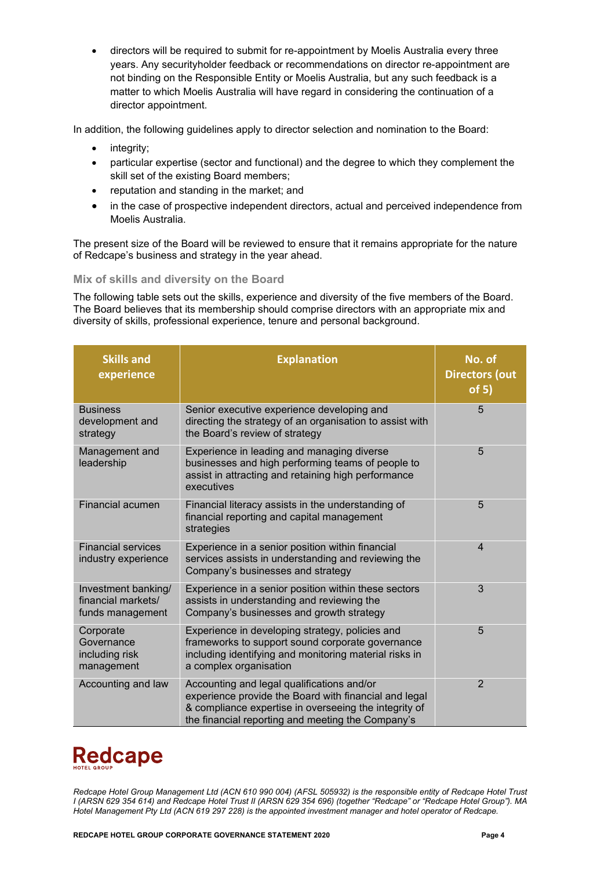• directors will be required to submit for re-appointment by Moelis Australia every three years. Any securityholder feedback or recommendations on director re-appointment are not binding on the Responsible Entity or Moelis Australia, but any such feedback is a matter to which Moelis Australia will have regard in considering the continuation of a director appointment.

In addition, the following guidelines apply to director selection and nomination to the Board:

- integrity;
- particular expertise (sector and functional) and the degree to which they complement the skill set of the existing Board members;
- reputation and standing in the market; and
- in the case of prospective independent directors, actual and perceived independence from Moelis Australia.

The present size of the Board will be reviewed to ensure that it remains appropriate for the nature of Redcape's business and strategy in the year ahead.

### **Mix of skills and diversity on the Board**

The following table sets out the skills, experience and diversity of the five members of the Board. The Board believes that its membership should comprise directors with an appropriate mix and diversity of skills, professional experience, tenure and personal background.

| <b>Skills and</b><br>experience                               | <b>Explanation</b>                                                                                                                                                                                                | No. of<br><b>Directors (out</b><br>of 5) |
|---------------------------------------------------------------|-------------------------------------------------------------------------------------------------------------------------------------------------------------------------------------------------------------------|------------------------------------------|
| <b>Business</b><br>development and<br>strategy                | Senior executive experience developing and<br>directing the strategy of an organisation to assist with<br>the Board's review of strategy                                                                          | 5                                        |
| Management and<br>leadership                                  | Experience in leading and managing diverse<br>businesses and high performing teams of people to<br>assist in attracting and retaining high performance<br>executives                                              | 5                                        |
| <b>Financial acumen</b>                                       | Financial literacy assists in the understanding of<br>financial reporting and capital management<br>strategies                                                                                                    | 5                                        |
| <b>Financial services</b><br>industry experience              | Experience in a senior position within financial<br>services assists in understanding and reviewing the<br>Company's businesses and strategy                                                                      | $\overline{4}$                           |
| Investment banking/<br>financial markets/<br>funds management | Experience in a senior position within these sectors<br>assists in understanding and reviewing the<br>Company's businesses and growth strategy                                                                    | 3                                        |
| Corporate<br>Governance<br>including risk<br>management       | Experience in developing strategy, policies and<br>frameworks to support sound corporate governance<br>including identifying and monitoring material risks in<br>a complex organisation                           | 5                                        |
| Accounting and law                                            | Accounting and legal qualifications and/or<br>experience provide the Board with financial and legal<br>& compliance expertise in overseeing the integrity of<br>the financial reporting and meeting the Company's | $\overline{2}$                           |

# **Redcape**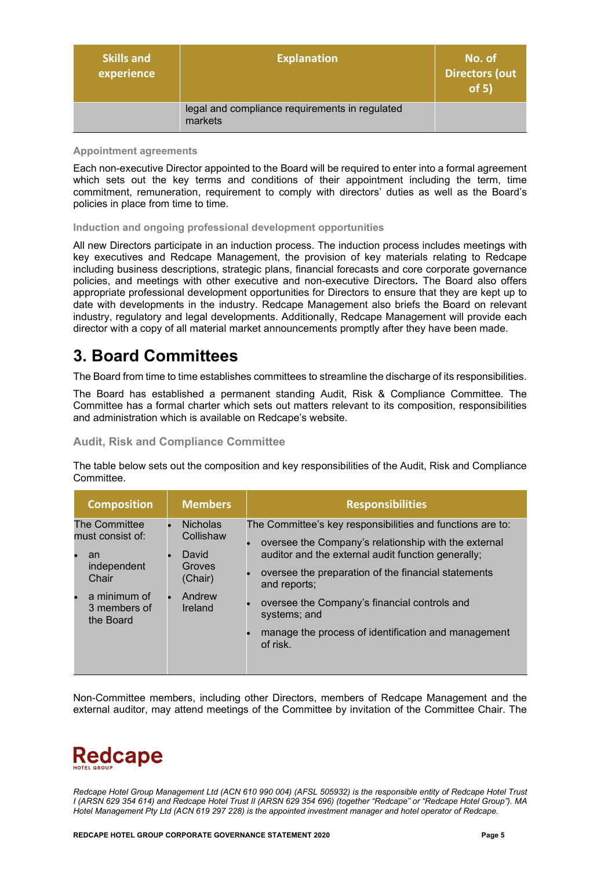| <b>Skills and</b><br>experience | <b>Explanation</b>                                        | No. of<br><b>Directors (out</b><br>of 5) |
|---------------------------------|-----------------------------------------------------------|------------------------------------------|
|                                 | legal and compliance requirements in regulated<br>markets |                                          |

#### **Appointment agreements**

Each non-executive Director appointed to the Board will be required to enter into a formal agreement which sets out the key terms and conditions of their appointment including the term, time commitment, remuneration, requirement to comply with directors' duties as well as the Board's policies in place from time to time.

#### **Induction and ongoing professional development opportunities**

All new Directors participate in an induction process. The induction process includes meetings with key executives and Redcape Management, the provision of key materials relating to Redcape including business descriptions, strategic plans, financial forecasts and core corporate governance policies, and meetings with other executive and non-executive Directors**.** The Board also offers appropriate professional development opportunities for Directors to ensure that they are kept up to date with developments in the industry. Redcape Management also briefs the Board on relevant industry, regulatory and legal developments. Additionally, Redcape Management will provide each director with a copy of all material market announcements promptly after they have been made.

### **3. Board Committees**

The Board from time to time establishes committees to streamline the discharge of its responsibilities.

The Board has established a permanent standing Audit, Risk & Compliance Committee. The Committee has a formal charter which sets out matters relevant to its composition, responsibilities and administration which is available on Redcape's website.

**Audit, Risk and Compliance Committee**

The table below sets out the composition and key responsibilities of the Audit, Risk and Compliance Committee.

| <b>Composition</b>                                                                                           | <b>Members</b>                                                                  | <b>Responsibilities</b>                                                                                                                                                                                                                                                                                                                                                            |
|--------------------------------------------------------------------------------------------------------------|---------------------------------------------------------------------------------|------------------------------------------------------------------------------------------------------------------------------------------------------------------------------------------------------------------------------------------------------------------------------------------------------------------------------------------------------------------------------------|
| The Committee<br>must consist of:<br>an<br>independent<br>Chair<br>a minimum of<br>3 members of<br>the Board | <b>Nicholas</b><br>Collishaw<br>David<br>Groves<br>(Chair)<br>Andrew<br>Ireland | The Committee's key responsibilities and functions are to:<br>oversee the Company's relationship with the external<br>auditor and the external audit function generally;<br>oversee the preparation of the financial statements<br>and reports;<br>oversee the Company's financial controls and<br>systems; and<br>manage the process of identification and management<br>of risk. |

Non-Committee members, including other Directors, members of Redcape Management and the external auditor, may attend meetings of the Committee by invitation of the Committee Chair. The

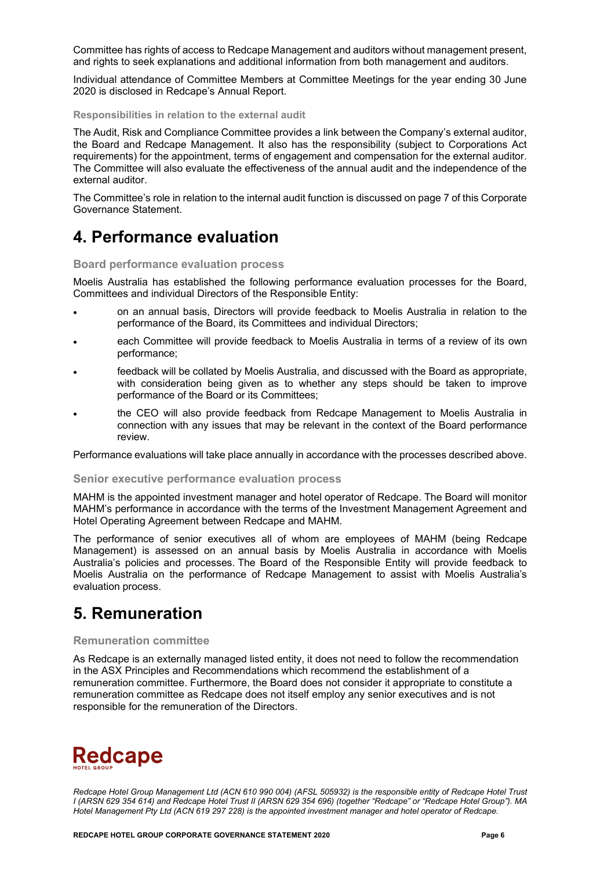Committee has rights of access to Redcape Management and auditors without management present, and rights to seek explanations and additional information from both management and auditors.

Individual attendance of Committee Members at Committee Meetings for the year ending 30 June 2020 is disclosed in Redcape's Annual Report.

**Responsibilities in relation to the external audit**

The Audit, Risk and Compliance Committee provides a link between the Company's external auditor, the Board and Redcape Management. It also has the responsibility (subject to Corporations Act requirements) for the appointment, terms of engagement and compensation for the external auditor. The Committee will also evaluate the effectiveness of the annual audit and the independence of the external auditor.

The Committee's role in relation to the internal audit function is discussed on page 7 of this Corporate Governance Statement.

### **4. Performance evaluation**

**Board performance evaluation process** 

Moelis Australia has established the following performance evaluation processes for the Board, Committees and individual Directors of the Responsible Entity:

- on an annual basis, Directors will provide feedback to Moelis Australia in relation to the performance of the Board, its Committees and individual Directors;
- each Committee will provide feedback to Moelis Australia in terms of a review of its own performance;
- feedback will be collated by Moelis Australia, and discussed with the Board as appropriate, with consideration being given as to whether any steps should be taken to improve performance of the Board or its Committees;
- the CEO will also provide feedback from Redcape Management to Moelis Australia in connection with any issues that may be relevant in the context of the Board performance review.

Performance evaluations will take place annually in accordance with the processes described above.

#### **Senior executive performance evaluation process**

MAHM is the appointed investment manager and hotel operator of Redcape. The Board will monitor MAHM's performance in accordance with the terms of the Investment Management Agreement and Hotel Operating Agreement between Redcape and MAHM.

The performance of senior executives all of whom are employees of MAHM (being Redcape Management) is assessed on an annual basis by Moelis Australia in accordance with Moelis Australia's policies and processes. The Board of the Responsible Entity will provide feedback to Moelis Australia on the performance of Redcape Management to assist with Moelis Australia's evaluation process.

### **5. Remuneration**

#### **Remuneration committee**

As Redcape is an externally managed listed entity, it does not need to follow the recommendation in the ASX Principles and Recommendations which recommend the establishment of a remuneration committee. Furthermore, the Board does not consider it appropriate to constitute a remuneration committee as Redcape does not itself employ any senior executives and is not responsible for the remuneration of the Directors.

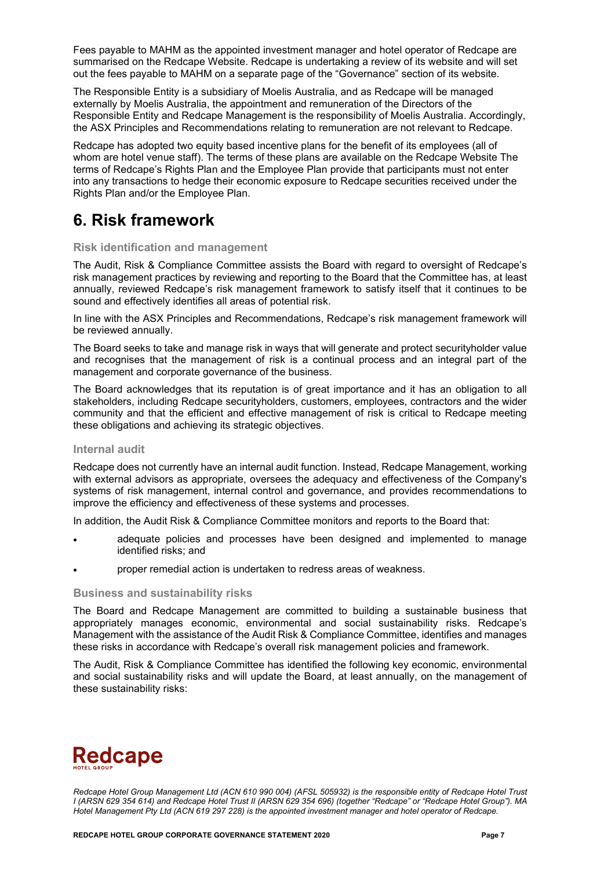Fees payable to MAHM as the appointed investment manager and hotel operator of Redcape are summarised on the Redcape Website. Redcape is undertaking a review of its website and will set out the fees payable to MAHM on a separate page of the "Governance" section of its website.

The Responsible Entity is a subsidiary of Moelis Australia, and as Redcape will be managed externally by Moelis Australia, the appointment and remuneration of the Directors of the Responsible Entity and Redcape Management is the responsibility of Moelis Australia. Accordingly, the ASX Principles and Recommendations relating to remuneration are not relevant to Redcape.

Redcape has adopted two equity based incentive plans for the benefit of its employees (all of whom are hotel venue staff). The terms of these plans are available on the Redcape Website The terms of Redcape's Rights Plan and the Employee Plan provide that participants must not enter into any transactions to hedge their economic exposure to Redcape securities received under the Rights Plan and/or the Employee Plan.

### **6. Risk framework**

### **Risk identification and management**

The Audit, Risk & Compliance Committee assists the Board with regard to oversight of Redcape's risk management practices by reviewing and reporting to the Board that the Committee has, at least annually, reviewed Redcape's risk management framework to satisfy itself that it continues to be sound and effectively identifies all areas of potential risk.

In line with the ASX Principles and Recommendations, Redcape's risk management framework will be reviewed annually.

The Board seeks to take and manage risk in ways that will generate and protect securityholder value and recognises that the management of risk is a continual process and an integral part of the management and corporate governance of the business.

The Board acknowledges that its reputation is of great importance and it has an obligation to all stakeholders, including Redcape securityholders, customers, employees, contractors and the wider community and that the efficient and effective management of risk is critical to Redcape meeting these obligations and achieving its strategic objectives.

### **Internal audit**

Redcape does not currently have an internal audit function. Instead, Redcape Management, working with external advisors as appropriate, oversees the adequacy and effectiveness of the Company's systems of risk management, internal control and governance, and provides recommendations to improve the efficiency and effectiveness of these systems and processes.

In addition, the Audit Risk & Compliance Committee monitors and reports to the Board that:

- adequate policies and processes have been designed and implemented to manage identified risks; and
- proper remedial action is undertaken to redress areas of weakness.

### **Business and sustainability risks**

The Board and Redcape Management are committed to building a sustainable business that appropriately manages economic, environmental and social sustainability risks. Redcape's Management with the assistance of the Audit Risk & Compliance Committee, identifies and manages these risks in accordance with Redcape's overall risk management policies and framework.

The Audit, Risk & Compliance Committee has identified the following key economic, environmental and social sustainability risks and will update the Board, at least annually, on the management of these sustainability risks:

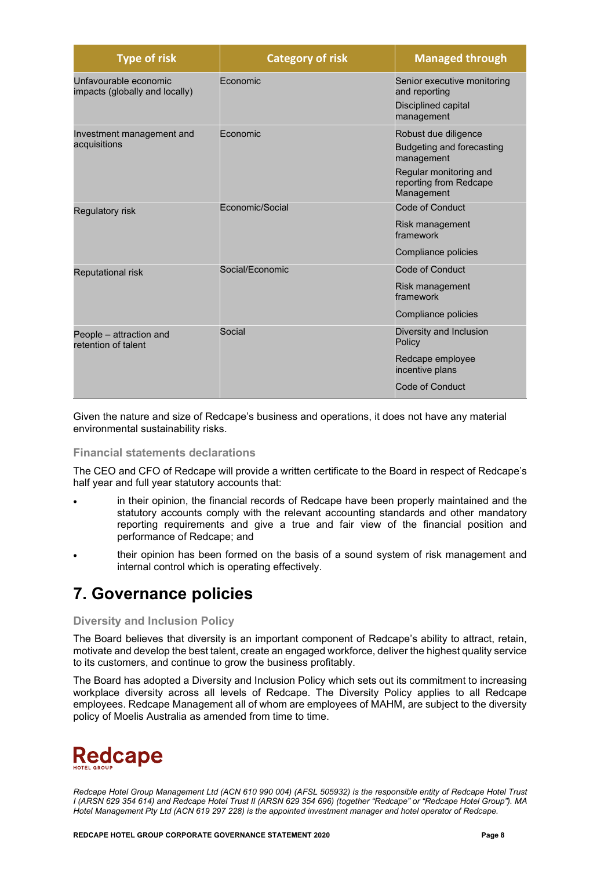| <b>Type of risk</b>                                     | <b>Category of risk</b> | <b>Managed through</b>                                                                                                            |
|---------------------------------------------------------|-------------------------|-----------------------------------------------------------------------------------------------------------------------------------|
| Unfavourable economic<br>impacts (globally and locally) | <b>Fconomic</b>         | Senior executive monitoring<br>and reporting<br>Disciplined capital<br>management                                                 |
| Investment management and<br>acquisitions               | <b>Fconomic</b>         | Robust due diligence<br>Budgeting and forecasting<br>management<br>Regular monitoring and<br>reporting from Redcape<br>Management |
| Regulatory risk                                         | Fconomic/Social         | Code of Conduct<br>Risk management<br>framework<br>Compliance policies                                                            |
| <b>Reputational risk</b>                                | Social/Economic         | Code of Conduct<br>Risk management<br>framework<br>Compliance policies                                                            |
| People - attraction and<br>retention of talent          | Social                  | Diversity and Inclusion<br>Policy<br>Redcape employee<br>incentive plans<br>Code of Conduct                                       |

Given the nature and size of Redcape's business and operations, it does not have any material environmental sustainability risks.

### **Financial statements declarations**

The CEO and CFO of Redcape will provide a written certificate to the Board in respect of Redcape's half year and full year statutory accounts that:

- in their opinion, the financial records of Redcape have been properly maintained and the statutory accounts comply with the relevant accounting standards and other mandatory reporting requirements and give a true and fair view of the financial position and performance of Redcape; and
- their opinion has been formed on the basis of a sound system of risk management and internal control which is operating effectively.

### **7. Governance policies**

### **Diversity and Inclusion Policy**

The Board believes that diversity is an important component of Redcape's ability to attract, retain, motivate and develop the best talent, create an engaged workforce, deliver the highest quality service to its customers, and continue to grow the business profitably.

The Board has adopted a Diversity and Inclusion Policy which sets out its commitment to increasing workplace diversity across all levels of Redcape. The Diversity Policy applies to all Redcape employees. Redcape Management all of whom are employees of MAHM, are subject to the diversity policy of Moelis Australia as amended from time to time.

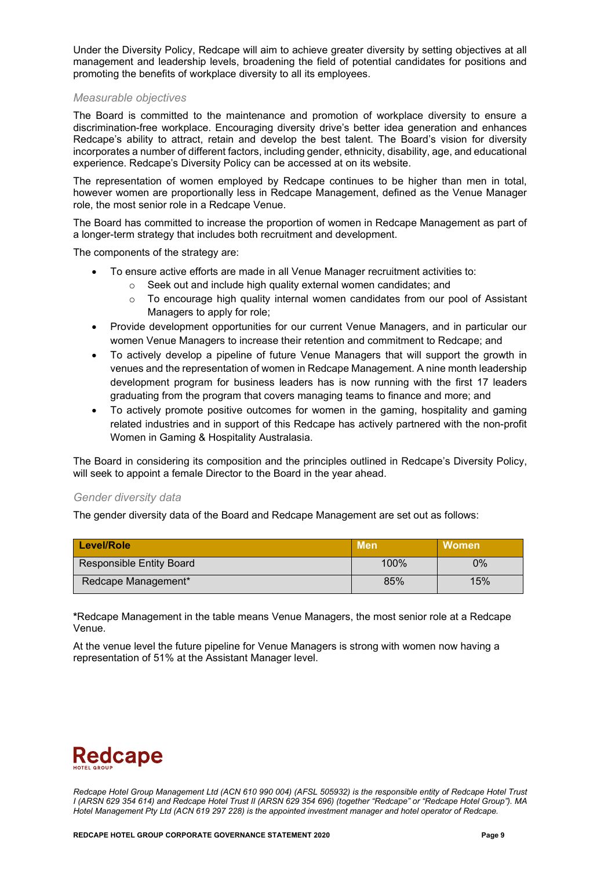Under the Diversity Policy, Redcape will aim to achieve greater diversity by setting objectives at all management and leadership levels, broadening the field of potential candidates for positions and promoting the benefits of workplace diversity to all its employees.

### *Measurable objectives*

The Board is committed to the maintenance and promotion of workplace diversity to ensure a discrimination-free workplace. Encouraging diversity drive's better idea generation and enhances Redcape's ability to attract, retain and develop the best talent. The Board's vision for diversity incorporates a number of different factors, including gender, ethnicity, disability, age, and educational experience. Redcape's Diversity Policy can be accessed at on its website.

The representation of women employed by Redcape continues to be higher than men in total, however women are proportionally less in Redcape Management, defined as the Venue Manager role, the most senior role in a Redcape Venue.

The Board has committed to increase the proportion of women in Redcape Management as part of a longer-term strategy that includes both recruitment and development.

The components of the strategy are:

- To ensure active efforts are made in all Venue Manager recruitment activities to:
	- o Seek out and include high quality external women candidates; and
	- o To encourage high quality internal women candidates from our pool of Assistant Managers to apply for role;
- Provide development opportunities for our current Venue Managers, and in particular our women Venue Managers to increase their retention and commitment to Redcape; and
- To actively develop a pipeline of future Venue Managers that will support the growth in venues and the representation of women in Redcape Management. A nine month leadership development program for business leaders has is now running with the first 17 leaders graduating from the program that covers managing teams to finance and more; and
- To actively promote positive outcomes for women in the gaming, hospitality and gaming related industries and in support of this Redcape has actively partnered with the non-profit Women in Gaming & Hospitality Australasia.

The Board in considering its composition and the principles outlined in Redcape's Diversity Policy, will seek to appoint a female Director to the Board in the year ahead.

#### *Gender diversity data*

The gender diversity data of the Board and Redcape Management are set out as follows:

| Level/Role               | ⊾Men\ | Women |
|--------------------------|-------|-------|
| Responsible Entity Board | 100%  | 0%    |
| Redcape Management*      | 85%   | 15%   |

**\***Redcape Management in the table means Venue Managers, the most senior role at a Redcape Venue.

At the venue level the future pipeline for Venue Managers is strong with women now having a representation of 51% at the Assistant Manager level.

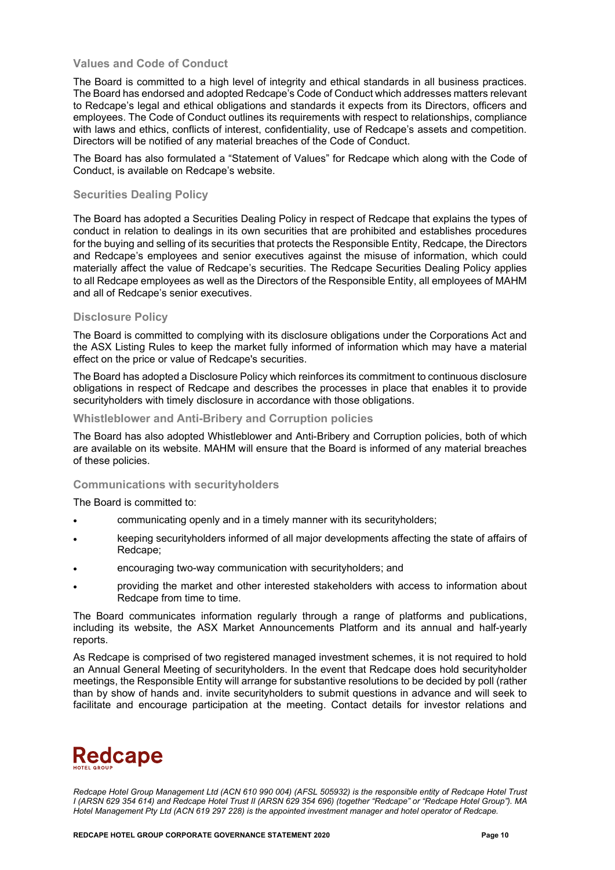### **Values and Code of Conduct**

The Board is committed to a high level of integrity and ethical standards in all business practices. The Board has endorsed and adopted Redcape's Code of Conduct which addresses matters relevant to Redcape's legal and ethical obligations and standards it expects from its Directors, officers and employees. The Code of Conduct outlines its requirements with respect to relationships, compliance with laws and ethics, conflicts of interest, confidentiality, use of Redcape's assets and competition. Directors will be notified of any material breaches of the Code of Conduct.

The Board has also formulated a "Statement of Values" for Redcape which along with the Code of Conduct, is available on Redcape's website.

### **Securities Dealing Policy**

The Board has adopted a Securities Dealing Policy in respect of Redcape that explains the types of conduct in relation to dealings in its own securities that are prohibited and establishes procedures for the buying and selling of its securities that protects the Responsible Entity, Redcape, the Directors and Redcape's employees and senior executives against the misuse of information, which could materially affect the value of Redcape's securities. The Redcape Securities Dealing Policy applies to all Redcape employees as well as the Directors of the Responsible Entity, all employees of MAHM and all of Redcape's senior executives.

### **Disclosure Policy**

The Board is committed to complying with its disclosure obligations under the Corporations Act and the ASX Listing Rules to keep the market fully informed of information which may have a material effect on the price or value of Redcape's securities.

The Board has adopted a Disclosure Policy which reinforces its commitment to continuous disclosure obligations in respect of Redcape and describes the processes in place that enables it to provide securityholders with timely disclosure in accordance with those obligations.

#### **Whistleblower and Anti-Bribery and Corruption policies**

The Board has also adopted Whistleblower and Anti-Bribery and Corruption policies, both of which are available on its website. MAHM will ensure that the Board is informed of any material breaches of these policies.

#### **Communications with securityholders**

The Board is committed to:

- communicating openly and in a timely manner with its securityholders;
- keeping securityholders informed of all major developments affecting the state of affairs of Redcape;
- encouraging two-way communication with securityholders; and
- providing the market and other interested stakeholders with access to information about Redcape from time to time.

The Board communicates information regularly through a range of platforms and publications, including its website, the ASX Market Announcements Platform and its annual and half-yearly reports.

As Redcape is comprised of two registered managed investment schemes, it is not required to hold an Annual General Meeting of securityholders. In the event that Redcape does hold securityholder meetings, the Responsible Entity will arrange for substantive resolutions to be decided by poll (rather than by show of hands and. invite securityholders to submit questions in advance and will seek to facilitate and encourage participation at the meeting. Contact details for investor relations and